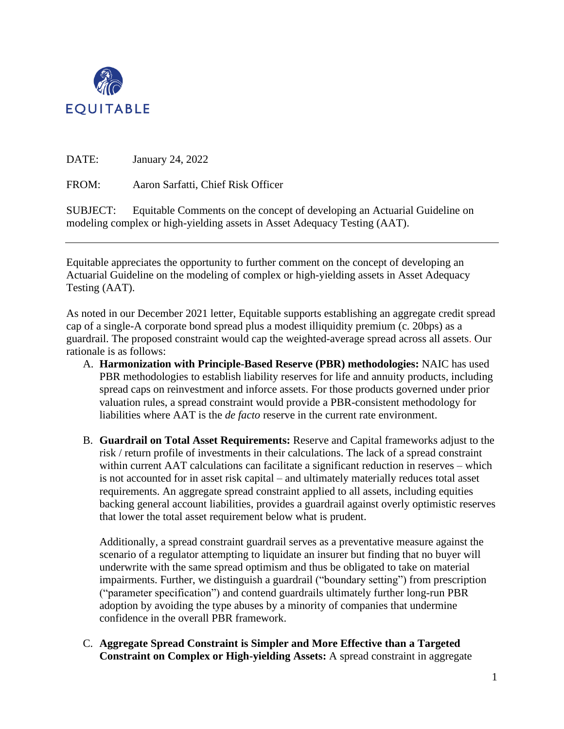

DATE: January 24, 2022

FROM: Aaron Sarfatti, Chief Risk Officer

SUBJECT: Equitable Comments on the concept of developing an Actuarial Guideline on modeling complex or high-yielding assets in Asset Adequacy Testing (AAT).

Equitable appreciates the opportunity to further comment on the concept of developing an Actuarial Guideline on the modeling of complex or high-yielding assets in Asset Adequacy Testing (AAT).

As noted in our December 2021 letter, Equitable supports establishing an aggregate credit spread cap of a single-A corporate bond spread plus a modest illiquidity premium (c. 20bps) as a guardrail. The proposed constraint would cap the weighted-average spread across all assets. Our rationale is as follows:

- A. **Harmonization with Principle-Based Reserve (PBR) methodologies:** NAIC has used PBR methodologies to establish liability reserves for life and annuity products, including spread caps on reinvestment and inforce assets. For those products governed under prior valuation rules, a spread constraint would provide a PBR-consistent methodology for liabilities where AAT is the *de facto* reserve in the current rate environment.
- B. **Guardrail on Total Asset Requirements:** Reserve and Capital frameworks adjust to the risk / return profile of investments in their calculations. The lack of a spread constraint within current AAT calculations can facilitate a significant reduction in reserves – which is not accounted for in asset risk capital – and ultimately materially reduces total asset requirements. An aggregate spread constraint applied to all assets, including equities backing general account liabilities, provides a guardrail against overly optimistic reserves that lower the total asset requirement below what is prudent.

Additionally, a spread constraint guardrail serves as a preventative measure against the scenario of a regulator attempting to liquidate an insurer but finding that no buyer will underwrite with the same spread optimism and thus be obligated to take on material impairments. Further, we distinguish a guardrail ("boundary setting") from prescription ("parameter specification") and contend guardrails ultimately further long-run PBR adoption by avoiding the type abuses by a minority of companies that undermine confidence in the overall PBR framework.

C. **Aggregate Spread Constraint is Simpler and More Effective than a Targeted Constraint on Complex or High-yielding Assets:** A spread constraint in aggregate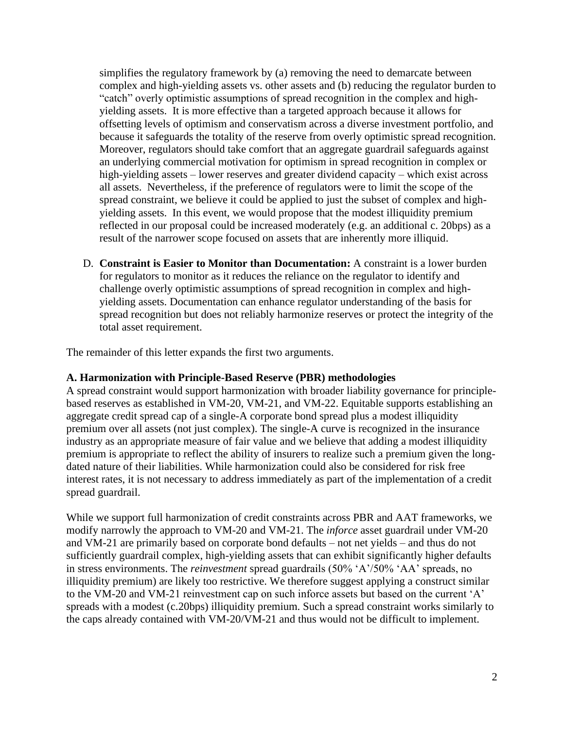simplifies the regulatory framework by (a) removing the need to demarcate between complex and high-yielding assets vs. other assets and (b) reducing the regulator burden to "catch" overly optimistic assumptions of spread recognition in the complex and highyielding assets. It is more effective than a targeted approach because it allows for offsetting levels of optimism and conservatism across a diverse investment portfolio, and because it safeguards the totality of the reserve from overly optimistic spread recognition. Moreover, regulators should take comfort that an aggregate guardrail safeguards against an underlying commercial motivation for optimism in spread recognition in complex or high-yielding assets – lower reserves and greater dividend capacity – which exist across all assets. Nevertheless, if the preference of regulators were to limit the scope of the spread constraint, we believe it could be applied to just the subset of complex and highyielding assets. In this event, we would propose that the modest illiquidity premium reflected in our proposal could be increased moderately (e.g. an additional c. 20bps) as a result of the narrower scope focused on assets that are inherently more illiquid.

D. **Constraint is Easier to Monitor than Documentation:** A constraint is a lower burden for regulators to monitor as it reduces the reliance on the regulator to identify and challenge overly optimistic assumptions of spread recognition in complex and highyielding assets. Documentation can enhance regulator understanding of the basis for spread recognition but does not reliably harmonize reserves or protect the integrity of the total asset requirement.

The remainder of this letter expands the first two arguments.

## **A. Harmonization with Principle-Based Reserve (PBR) methodologies**

A spread constraint would support harmonization with broader liability governance for principlebased reserves as established in VM-20, VM-21, and VM-22. Equitable supports establishing an aggregate credit spread cap of a single-A corporate bond spread plus a modest illiquidity premium over all assets (not just complex). The single-A curve is recognized in the insurance industry as an appropriate measure of fair value and we believe that adding a modest illiquidity premium is appropriate to reflect the ability of insurers to realize such a premium given the longdated nature of their liabilities. While harmonization could also be considered for risk free interest rates, it is not necessary to address immediately as part of the implementation of a credit spread guardrail.

While we support full harmonization of credit constraints across PBR and AAT frameworks, we modify narrowly the approach to VM-20 and VM-21. The *inforce* asset guardrail under VM-20 and VM-21 are primarily based on corporate bond defaults – not net yields – and thus do not sufficiently guardrail complex, high-yielding assets that can exhibit significantly higher defaults in stress environments. The *reinvestment* spread guardrails (50% 'A'/50% 'AA' spreads, no illiquidity premium) are likely too restrictive. We therefore suggest applying a construct similar to the VM-20 and VM-21 reinvestment cap on such inforce assets but based on the current 'A' spreads with a modest (c.20bps) illiquidity premium. Such a spread constraint works similarly to the caps already contained with VM-20/VM-21 and thus would not be difficult to implement.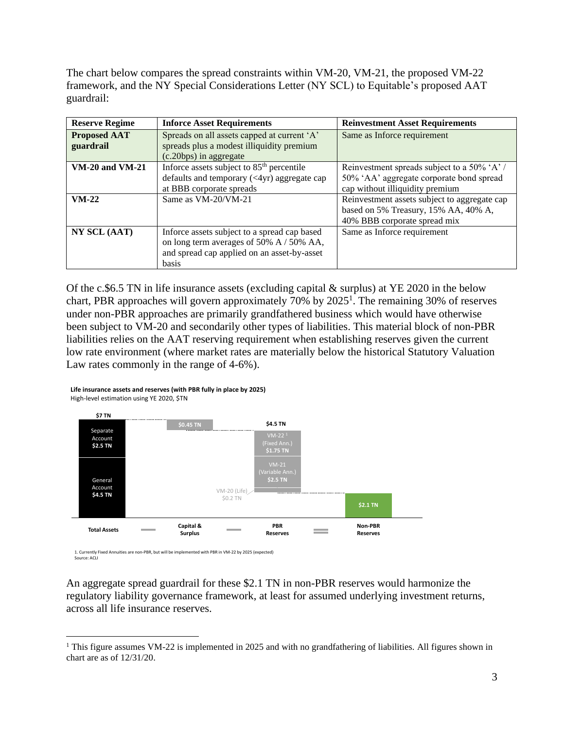The chart below compares the spread constraints within VM-20, VM-21, the proposed VM-22 framework, and the NY Special Considerations Letter (NY SCL) to Equitable's proposed AAT guardrail:

| <b>Reserve Regime</b>  | <b>Inforce Asset Requirements</b>                     | <b>Reinvestment Asset Requirements</b>       |
|------------------------|-------------------------------------------------------|----------------------------------------------|
| <b>Proposed AAT</b>    | Spreads on all assets capped at current 'A'           | Same as Inforce requirement                  |
| guardrail              | spreads plus a modest illiquidity premium             |                                              |
|                        | (c.20bps) in aggregate                                |                                              |
| <b>VM-20 and VM-21</b> | Inforce assets subject to 85 <sup>th</sup> percentile | Reinvestment spreads subject to a 50% 'A' /  |
|                        | defaults and temporary $(4yr)$ aggregate cap          | 50% 'AA' aggregate corporate bond spread     |
|                        | at BBB corporate spreads                              | cap without illiquidity premium              |
| $VM-22$                | Same as VM-20/VM-21                                   | Reinvestment assets subject to aggregate cap |
|                        |                                                       | based on 5% Treasury, 15% AA, 40% A,         |
|                        |                                                       | 40% BBB corporate spread mix                 |
| NY SCL (AAT)           | Inforce assets subject to a spread cap based          | Same as Inforce requirement                  |
|                        | on long term averages of 50% A / 50% AA,              |                                              |
|                        | and spread cap applied on an asset-by-asset           |                                              |
|                        | <b>basis</b>                                          |                                              |

Of the c.\$6.5 TN in life insurance assets (excluding capital & surplus) at YE 2020 in the below chart, PBR approaches will govern approximately 70% by  $2025<sup>1</sup>$ . The remaining 30% of reserves under non-PBR approaches are primarily grandfathered business which would have otherwise been subject to VM-20 and secondarily other types of liabilities. This material block of non-PBR liabilities relies on the AAT reserving requirement when establishing reserves given the current low rate environment (where market rates are materially below the historical Statutory Valuation Law rates commonly in the range of 4-6%).



**Life insurance assets and reserves (with PBR fully in place by 2025)** High-level estimation using YE 2020, \$TN

1. Currently Fixed Annuities are non-PBR, but will be implemented with PBR in VM-22 by 2025 (expected) Source: ACLI

An aggregate spread guardrail for these \$2.1 TN in non-PBR reserves would harmonize the regulatory liability governance framework, at least for assumed underlying investment returns, across all life insurance reserves.

<sup>&</sup>lt;sup>1</sup> This figure assumes VM-22 is implemented in 2025 and with no grandfathering of liabilities. All figures shown in chart are as of 12/31/20.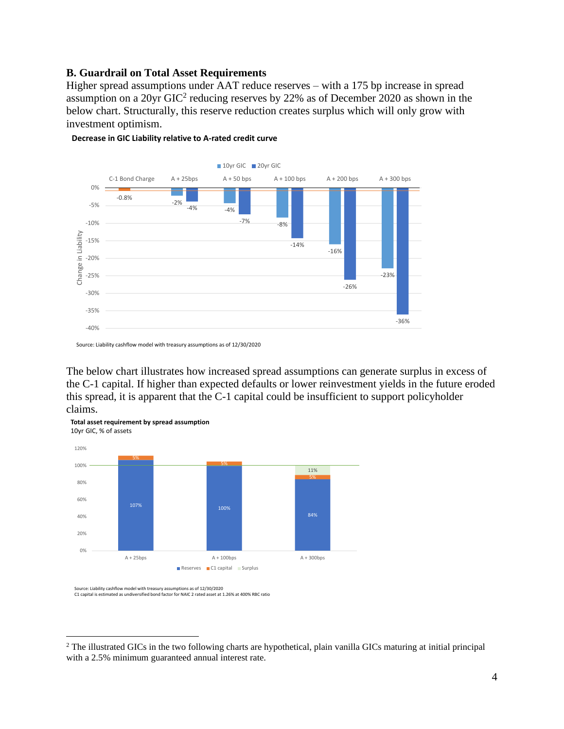## **B. Guardrail on Total Asset Requirements**

Higher spread assumptions under AAT reduce reserves – with a 175 bp increase in spread assumption on a 20yr GIC<sup>2</sup> reducing reserves by 22% as of December 2020 as shown in the below chart. Structurally, this reserve reduction creates surplus which will only grow with investment optimism.



**Decrease in GIC Liability relative to A-rated credit curve**

The below chart illustrates how increased spread assumptions can generate surplus in excess of the C-1 capital. If higher than expected defaults or lower reinvestment yields in the future eroded this spread, it is apparent that the C-1 capital could be insufficient to support policyholder claims.



**Total asset requirement by spread assumption** 10yr GIC, % of assets

Source: Liability cashflow model with treasury assumptions as of 12/30/2020 C1 capital is estimated as undiversified bond factor for NAIC 2 rated asset at 1.26% at 400% RBC ratio

Source: Liability cashflow model with treasury assumptions as of 12/30/2020

<sup>&</sup>lt;sup>2</sup> The illustrated GICs in the two following charts are hypothetical, plain vanilla GICs maturing at initial principal with a 2.5% minimum guaranteed annual interest rate.